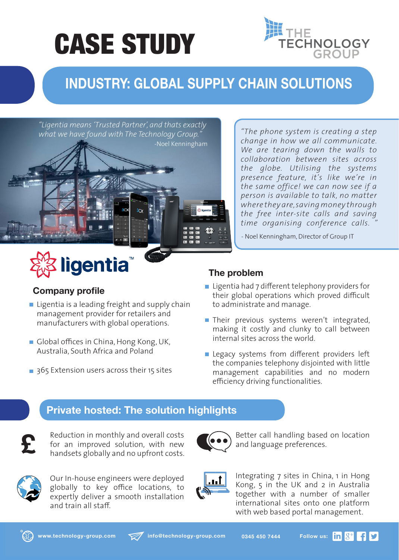# CASE STUDY



### **INDUSTRY: GLOBAL SUPPLY CHAIN SOLUTIONS**

*"Ligentia means 'Trusted Partner', and thats exactly what we have found with The Technology Group."*



*"The phone system is creating a step change in how we all communicate. We are tearing down the walls to collaboration between sites across the globe. Utilising the systems presence feature, it's like we're in the same office! we can now see if a person is available to talk, no matter where they are, saving money through the free inter-site calls and saving time organising conference calls. "*

- Noel Kenningham, Director of Group IT

#### **Company profile**

- $\blacksquare$  Ligentia is a leading freight and supply chain management provider for retailers and manufacturers with global operations.
- Global offices in China, Hong Kong, UK, Australia, South Africa and Poland

ligentia

365 Extension users across their 15 sites

#### **The problem**

- Ligentia had 7 different telephony providers for their global operations which proved difficult to administrate and manage.
- Their previous systems weren't integrated, making it costly and clunky to call between internal sites across the world.
- Legacy systems from different providers left the companies telephony disjointed with little management capabilities and no modern efficiency driving functionalities.

#### **Private hosted: The solution highlights**



Reduction in monthly and overall costs for an improved solution, with new handsets globally and no upfront costs.



Our In-house engineers were deployed globally to key office locations, to expertly deliver a smooth installation and train all staff.



Better call handling based on location and language preferences.



Integrating 7 sites in China, 1 in Hong Kong, 5 in the UK and 2 in Australia together with a number of smaller international sites onto one platform with web based portal management.